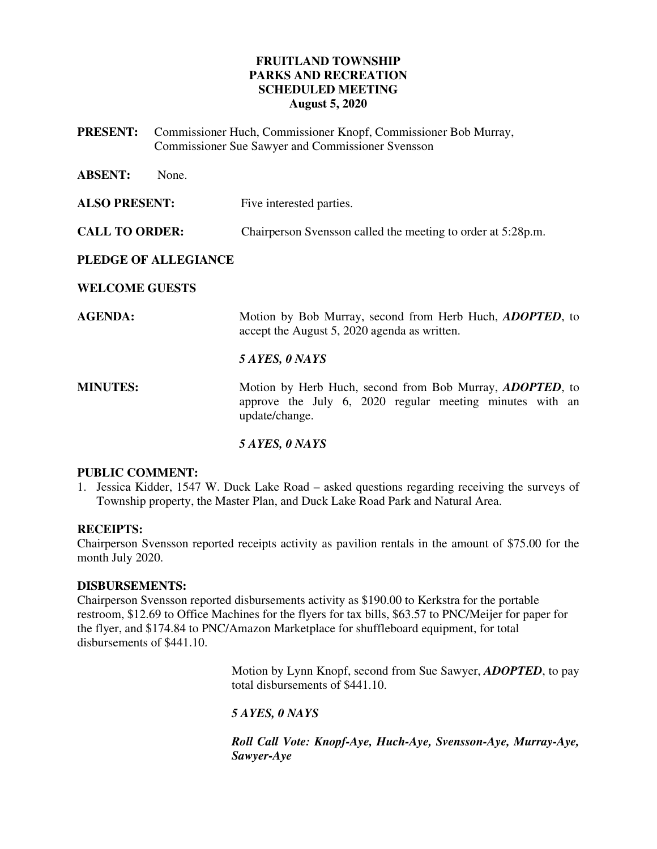# **FRUITLAND TOWNSHIP PARKS AND RECREATION SCHEDULED MEETING August 5, 2020**

**PRESENT:** Commissioner Huch, Commissioner Knopf, Commissioner Bob Murray, Commissioner Sue Sawyer and Commissioner Svensson

| <b>ABSENT:</b><br>None. |                                                                                                                                                |
|-------------------------|------------------------------------------------------------------------------------------------------------------------------------------------|
| <b>ALSO PRESENT:</b>    | Five interested parties.                                                                                                                       |
| <b>CALL TO ORDER:</b>   | Chairperson Svensson called the meeting to order at 5:28p.m.                                                                                   |
| PLEDGE OF ALLEGIANCE    |                                                                                                                                                |
| <b>WELCOME GUESTS</b>   |                                                                                                                                                |
| <b>AGENDA:</b>          | Motion by Bob Murray, second from Herb Huch, <i>ADOPTED</i> , to<br>accept the August 5, 2020 agenda as written.                               |
|                         | 5 AYES, 0 NAYS                                                                                                                                 |
| <b>MINUTES:</b>         | Motion by Herb Huch, second from Bob Murray, <i>ADOPTED</i> , to<br>approve the July 6, 2020 regular meeting minutes with an<br>update/change. |
|                         | 5 AYES, 0 NAYS                                                                                                                                 |

#### **PUBLIC COMMENT:**

1. Jessica Kidder, 1547 W. Duck Lake Road – asked questions regarding receiving the surveys of Township property, the Master Plan, and Duck Lake Road Park and Natural Area.

# **RECEIPTS:**

Chairperson Svensson reported receipts activity as pavilion rentals in the amount of \$75.00 for the month July 2020.

#### **DISBURSEMENTS:**

Chairperson Svensson reported disbursements activity as \$190.00 to Kerkstra for the portable restroom, \$12.69 to Office Machines for the flyers for tax bills, \$63.57 to PNC/Meijer for paper for the flyer, and \$174.84 to PNC/Amazon Marketplace for shuffleboard equipment, for total disbursements of \$441.10.

> Motion by Lynn Knopf, second from Sue Sawyer, *ADOPTED*, to pay total disbursements of \$441.10.

# *5 AYES, 0 NAYS*

*Roll Call Vote: Knopf-Aye, Huch-Aye, Svensson-Aye, Murray-Aye, Sawyer-Aye*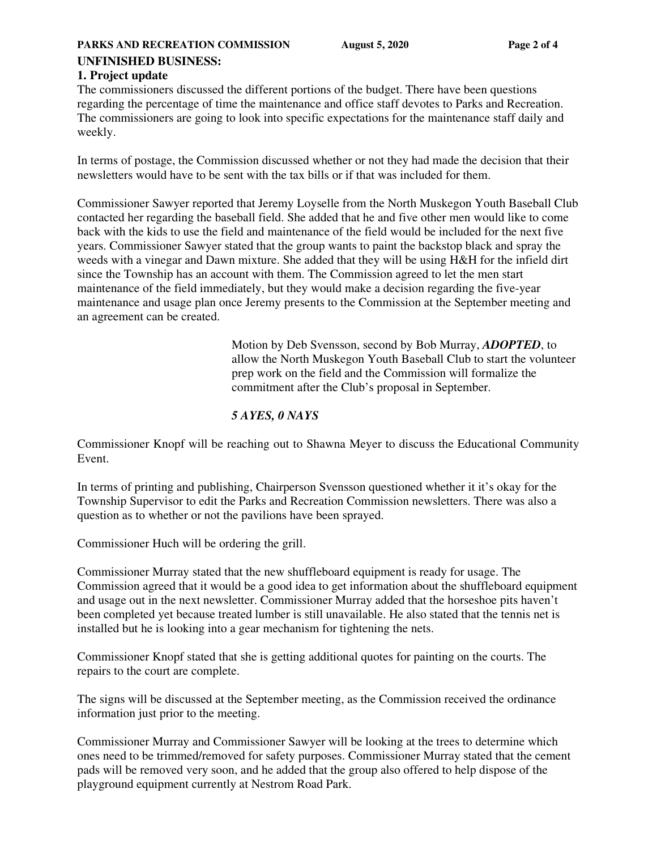### **UNFINISHED BUSINESS:**

#### **1. Project update**

The commissioners discussed the different portions of the budget. There have been questions regarding the percentage of time the maintenance and office staff devotes to Parks and Recreation. The commissioners are going to look into specific expectations for the maintenance staff daily and weekly.

In terms of postage, the Commission discussed whether or not they had made the decision that their newsletters would have to be sent with the tax bills or if that was included for them.

Commissioner Sawyer reported that Jeremy Loyselle from the North Muskegon Youth Baseball Club contacted her regarding the baseball field. She added that he and five other men would like to come back with the kids to use the field and maintenance of the field would be included for the next five years. Commissioner Sawyer stated that the group wants to paint the backstop black and spray the weeds with a vinegar and Dawn mixture. She added that they will be using H&H for the infield dirt since the Township has an account with them. The Commission agreed to let the men start maintenance of the field immediately, but they would make a decision regarding the five-year maintenance and usage plan once Jeremy presents to the Commission at the September meeting and an agreement can be created.

> Motion by Deb Svensson, second by Bob Murray, *ADOPTED*, to allow the North Muskegon Youth Baseball Club to start the volunteer prep work on the field and the Commission will formalize the commitment after the Club's proposal in September.

### *5 AYES, 0 NAYS*

Commissioner Knopf will be reaching out to Shawna Meyer to discuss the Educational Community Event.

In terms of printing and publishing, Chairperson Svensson questioned whether it it's okay for the Township Supervisor to edit the Parks and Recreation Commission newsletters. There was also a question as to whether or not the pavilions have been sprayed.

Commissioner Huch will be ordering the grill.

Commissioner Murray stated that the new shuffleboard equipment is ready for usage. The Commission agreed that it would be a good idea to get information about the shuffleboard equipment and usage out in the next newsletter. Commissioner Murray added that the horseshoe pits haven't been completed yet because treated lumber is still unavailable. He also stated that the tennis net is installed but he is looking into a gear mechanism for tightening the nets.

Commissioner Knopf stated that she is getting additional quotes for painting on the courts. The repairs to the court are complete.

The signs will be discussed at the September meeting, as the Commission received the ordinance information just prior to the meeting.

Commissioner Murray and Commissioner Sawyer will be looking at the trees to determine which ones need to be trimmed/removed for safety purposes. Commissioner Murray stated that the cement pads will be removed very soon, and he added that the group also offered to help dispose of the playground equipment currently at Nestrom Road Park.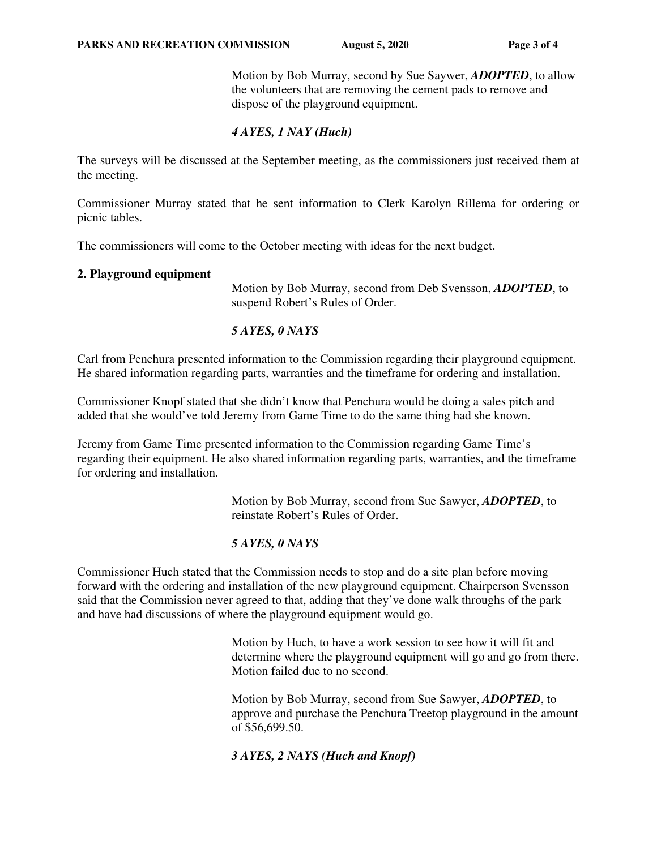Motion by Bob Murray, second by Sue Saywer, *ADOPTED*, to allow the volunteers that are removing the cement pads to remove and dispose of the playground equipment.

### *4 AYES, 1 NAY (Huch)*

The surveys will be discussed at the September meeting, as the commissioners just received them at the meeting.

Commissioner Murray stated that he sent information to Clerk Karolyn Rillema for ordering or picnic tables.

The commissioners will come to the October meeting with ideas for the next budget.

#### **2. Playground equipment**

Motion by Bob Murray, second from Deb Svensson, *ADOPTED*, to suspend Robert's Rules of Order.

#### *5 AYES, 0 NAYS*

Carl from Penchura presented information to the Commission regarding their playground equipment. He shared information regarding parts, warranties and the timeframe for ordering and installation.

Commissioner Knopf stated that she didn't know that Penchura would be doing a sales pitch and added that she would've told Jeremy from Game Time to do the same thing had she known.

Jeremy from Game Time presented information to the Commission regarding Game Time's regarding their equipment. He also shared information regarding parts, warranties, and the timeframe for ordering and installation.

> Motion by Bob Murray, second from Sue Sawyer, *ADOPTED*, to reinstate Robert's Rules of Order.

#### *5 AYES, 0 NAYS*

Commissioner Huch stated that the Commission needs to stop and do a site plan before moving forward with the ordering and installation of the new playground equipment. Chairperson Svensson said that the Commission never agreed to that, adding that they've done walk throughs of the park and have had discussions of where the playground equipment would go.

> Motion by Huch, to have a work session to see how it will fit and determine where the playground equipment will go and go from there. Motion failed due to no second.

> Motion by Bob Murray, second from Sue Sawyer, *ADOPTED*, to approve and purchase the Penchura Treetop playground in the amount of \$56,699.50.

#### *3 AYES, 2 NAYS (Huch and Knopf)*